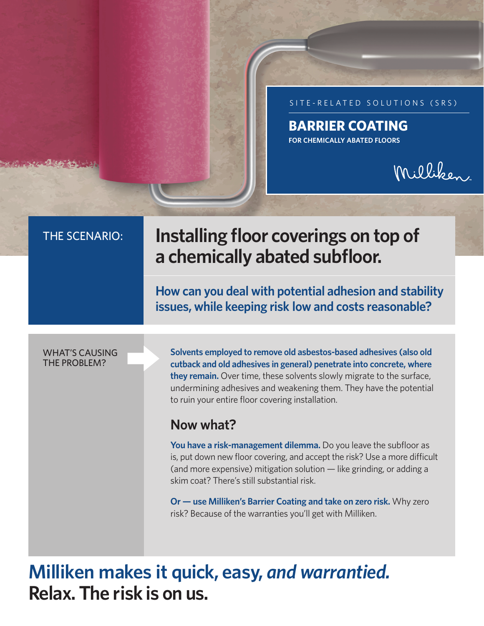SITE-RELATED SOLUTIONS (SRS)

#### **BARRIER COATING FOR CHEMICALLY ABATED FLOORS**

# Milliken

## THE SCENARIO: **Installing floor coverings on top of a chemically abated subfloor.**

**How can you deal with potential adhesion and stability issues, while keeping risk low and costs reasonable?**

#### WHAT'S CAUSING THE PROBLEM?

**Solvents employed to remove old asbestos-based adhesives (also old cutback and old adhesives in general) penetrate into concrete, where they remain.** Over time, these solvents slowly migrate to the surface, undermining adhesives and weakening them. They have the potential to ruin your entire floor covering installation.

#### **Now what?**

**You have a risk-management dilemma.** Do you leave the subfloor as is, put down new floor covering, and accept the risk? Use a more difficult (and more expensive) mitigation solution — like grinding, or adding a skim coat? There's still substantial risk.

**Or — use Milliken's Barrier Coating and take on zero risk.** Why zero risk? Because of the warranties you'll get with Milliken.

**Milliken makes it quick, easy,** *and warrantied.*  **Relax. The risk is on us.**